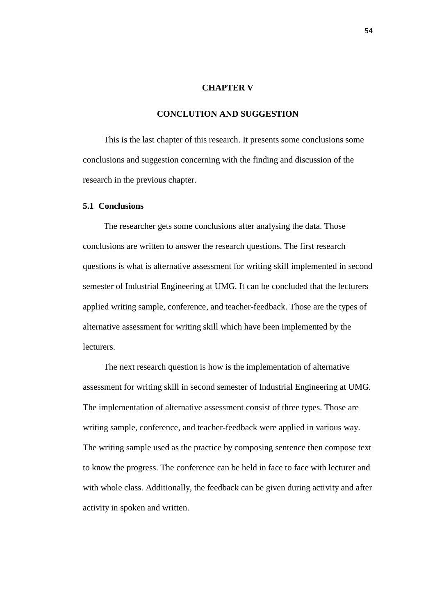#### **CHAPTER V**

## **CONCLUTION AND SUGGESTION**

This is the last chapter of this research. It presents some conclusions some conclusions and suggestion concerning with the finding and discussion of the research in the previous chapter.

## **5.1 Conclusions**

The researcher gets some conclusions after analysing the data. Those conclusions are written to answer the research questions. The first research questions is what is alternative assessment for writing skill implemented in second semester of Industrial Engineering at UMG. It can be concluded that the lecturers applied writing sample, conference, and teacher-feedback. Those are the types of alternative assessment for writing skill which have been implemented by the lecturers.

The next research question is how is the implementation of alternative assessment for writing skill in second semester of Industrial Engineering at UMG. The implementation of alternative assessment consist of three types. Those are writing sample, conference, and teacher-feedback were applied in various way. The writing sample used as the practice by composing sentence then compose text to know the progress. The conference can be held in face to face with lecturer and with whole class. Additionally, the feedback can be given during activity and after activity in spoken and written.